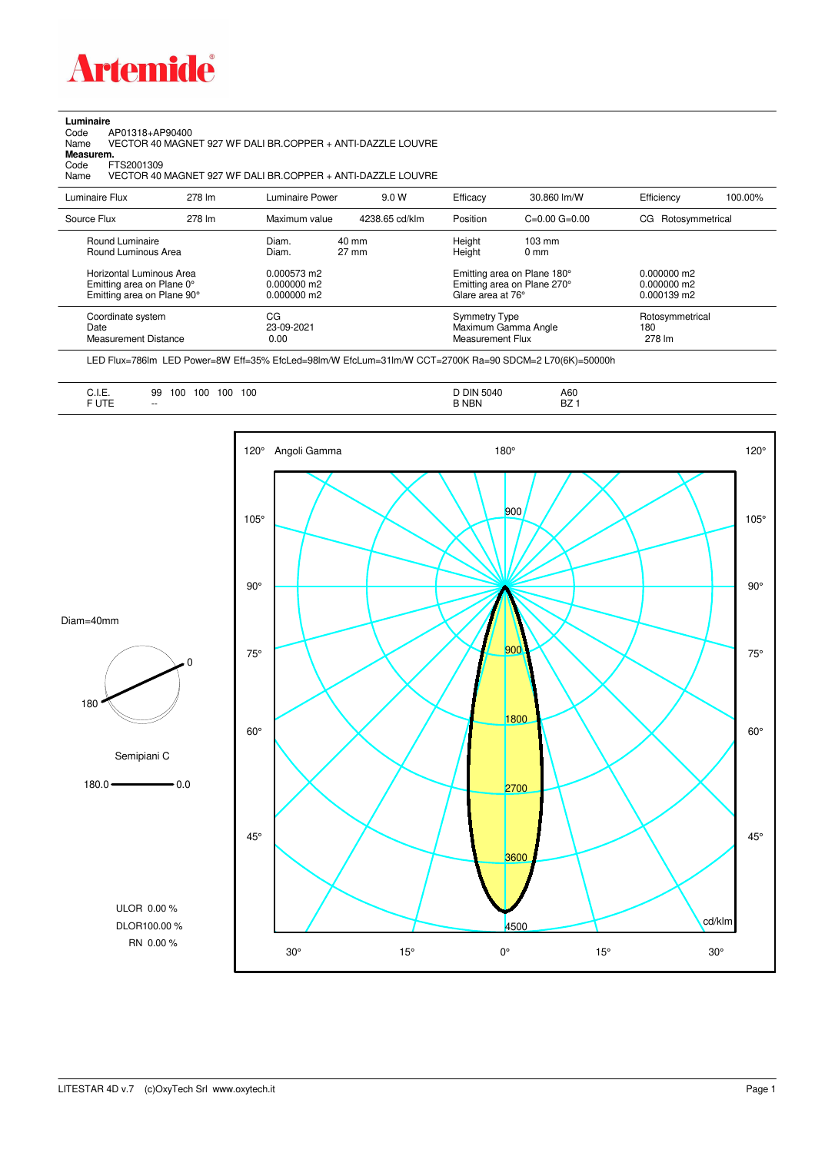

## **Luminaire**

Code AP01318+AP90400 Name VECTOR 40 MAGNET 927 WF DALI BR.COPPER + ANTI-DAZZLE LOUVRE Code A<br>Name V<br>**Measurem.** 

Code FTS2001309<br>Name VECTOR 40 Name VECTOR 40 MAGNET 927 WF DALI BR.COPPER + ANTI-DAZZLE LOUVRE

| Luminaire Flux                                                                                                                | 278 lm | Luminaire Power                                                 | 9.0 W                    | Efficacy                              | 30.860 lm/W                                                                                      | Efficiency                                      | 100.00% |
|-------------------------------------------------------------------------------------------------------------------------------|--------|-----------------------------------------------------------------|--------------------------|---------------------------------------|--------------------------------------------------------------------------------------------------|-------------------------------------------------|---------|
| Source Flux                                                                                                                   | 278 lm | Maximum value                                                   | 4238.65 cd/klm           | Position                              | $C=0.00$ $G=0.00$                                                                                | CG Rotosymmetrical                              |         |
| Round Luminaire<br>Round Luminous Area<br>Horizontal Luminous Area<br>Emitting area on Plane 0°<br>Emitting area on Plane 90° |        | Diam.<br>Diam.<br>0.000573 m2<br>$0.000000$ m2<br>$0.000000$ m2 | 40 mm<br>$27 \text{ mm}$ | Height<br>Height<br>Glare area at 76° | $103 \text{ mm}$<br>$0 \text{ mm}$<br>Emitting area on Plane 180°<br>Emitting area on Plane 270° | $0.000000$ m2<br>$0.000000$ m2<br>$0.000139$ m2 |         |
| Coordinate system<br>Date<br>Measurement Distance                                                                             |        | CG<br>23-09-2021<br>0.00                                        |                          | Symmetry Type<br>Measurement Flux     | Maximum Gamma Angle                                                                              | Rotosymmetrical<br>180<br>278 lm                |         |

LED Flux=786lm LED Power=8W Eff=35% EfcLed=98lm/W EfcLum=31lm/W CCT=2700K Ra=90 SDCM=2 L70(6K)=50000h